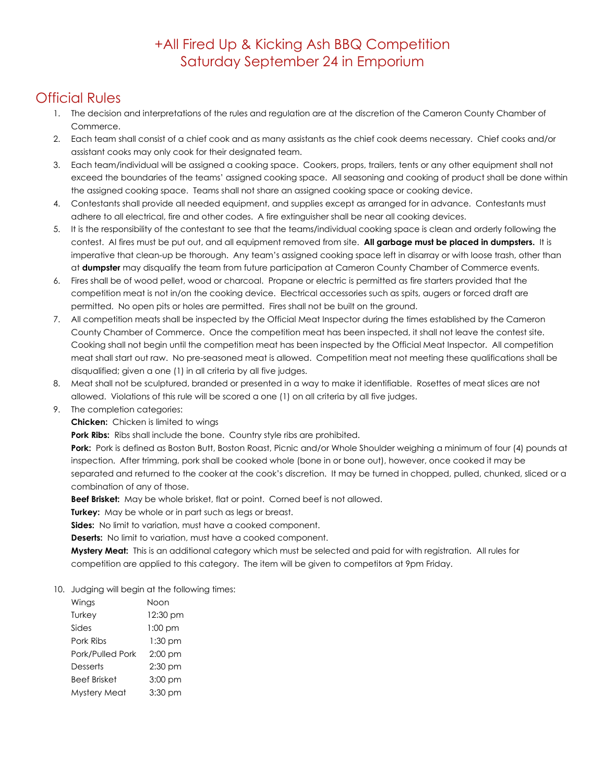## +All Fired Up & Kicking Ash BBQ Competition Saturday September 24 in Emporium

## Official Rules

- 1. The decision and interpretations of the rules and regulation are at the discretion of the Cameron County Chamber of Commerce.
- 2. Each team shall consist of a chief cook and as many assistants as the chief cook deems necessary. Chief cooks and/or assistant cooks may only cook for their designated team.
- 3. Each team/individual will be assigned a cooking space. Cookers, props, trailers, tents or any other equipment shall not exceed the boundaries of the teams' assigned cooking space. All seasoning and cooking of product shall be done within the assigned cooking space. Teams shall not share an assigned cooking space or cooking device.
- 4. Contestants shall provide all needed equipment, and supplies except as arranged for in advance. Contestants must adhere to all electrical, fire and other codes. A fire extinguisher shall be near all cooking devices.
- 5. It is the responsibility of the contestant to see that the teams/individual cooking space is clean and orderly following the contest. Al fires must be put out, and all equipment removed from site. **All garbage must be placed in dumpsters.** It is imperative that clean-up be thorough. Any team's assigned cooking space left in disarray or with loose trash, other than at **dumpster** may disqualify the team from future participation at Cameron County Chamber of Commerce events.
- 6. Fires shall be of wood pellet, wood or charcoal. Propane or electric is permitted as fire starters provided that the competition meat is not in/on the cooking device. Electrical accessories such as spits, augers or forced draft are permitted. No open pits or holes are permitted. Fires shall not be built on the ground.
- 7. All competition meats shall be inspected by the Official Meat Inspector during the times established by the Cameron County Chamber of Commerce. Once the competition meat has been inspected, it shall not leave the contest site. Cooking shall not begin until the competition meat has been inspected by the Official Meat Inspector. All competition meat shall start out raw. No pre-seasoned meat is allowed. Competition meat not meeting these qualifications shall be disqualified; given a one (1) in all criteria by all five judges.
- 8. Meat shall not be sculptured, branded or presented in a way to make it identifiable. Rosettes of meat slices are not allowed. Violations of this rule will be scored a one (1) on all criteria by all five judges.
- 9. The completion categories:
	- **Chicken:** Chicken is limited to wings

**Pork Ribs:** Ribs shall include the bone. Country style ribs are prohibited.

**Pork:** Pork is defined as Boston Butt, Boston Roast, Picnic and/or Whole Shoulder weighing a minimum of four (4) pounds at inspection. After trimming, pork shall be cooked whole (bone in or bone out), however, once cooked it may be separated and returned to the cooker at the cook's discretion. It may be turned in chopped, pulled, chunked, sliced or a combination of any of those.

**Beef Brisket:** May be whole brisket, flat or point. Corned beef is not allowed.

**Turkey:** May be whole or in part such as legs or breast.

**Sides:** No limit to variation, must have a cooked component.

**Deserts:** No limit to variation, must have a cooked component.

**Mystery Meat:** This is an additional category which must be selected and paid for with registration. All rules for competition are applied to this category. The item will be given to competitors at 9pm Friday.

## 10. Judging will begin at the following times:

| Wings            | Noon      |
|------------------|-----------|
| Turkey           | 12:30 pm  |
| Sides            | $1:00$ pm |
| Pork Ribs        | 1:30 pm   |
| Pork/Pulled Pork | $2:00$ pm |
| Desserts         | $2:30$ pm |
| Beef Brisket     | 3:00 pm   |
| Mystery Meat     | 3:30 pm   |